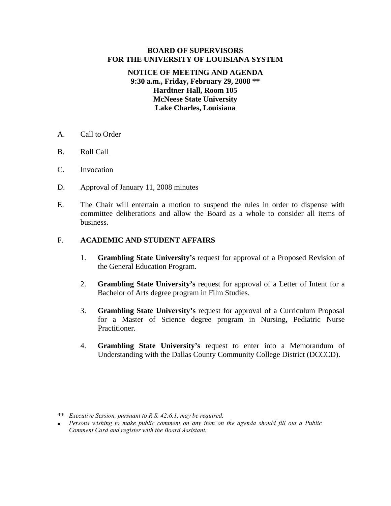#### **BOARD OF SUPERVISORS FOR THE UNIVERSITY OF LOUISIANA SYSTEM**

### **NOTICE OF MEETING AND AGENDA 9:30 a.m., Friday, February 29, 2008 \*\* Hardtner Hall, Room 105 McNeese State University Lake Charles, Louisiana**

- A. Call to Order
- B. Roll Call
- C. Invocation
- D. Approval of January 11, 2008 minutes
- E. The Chair will entertain a motion to suspend the rules in order to dispense with committee deliberations and allow the Board as a whole to consider all items of business.

#### F. **ACADEMIC AND STUDENT AFFAIRS**

- 1. **Grambling State University's** request for approval of a Proposed Revision of the General Education Program.
- 2. **Grambling State University's** request for approval of a Letter of Intent for a Bachelor of Arts degree program in Film Studies.
- 3. **Grambling State University's** request for approval of a Curriculum Proposal for a Master of Science degree program in Nursing, Pediatric Nurse Practitioner.
- 4. **Grambling State University's** request to enter into a Memorandum of Understanding with the Dallas County Community College District (DCCCD).

*<sup>\*\*</sup> Executive Session, pursuant to R.S. 42:6.1, may be required.* 

<sup>■</sup> Persons wishing to make public comment on any item on the agenda should fill out a Public  *Comment Card and register with the Board Assistant.*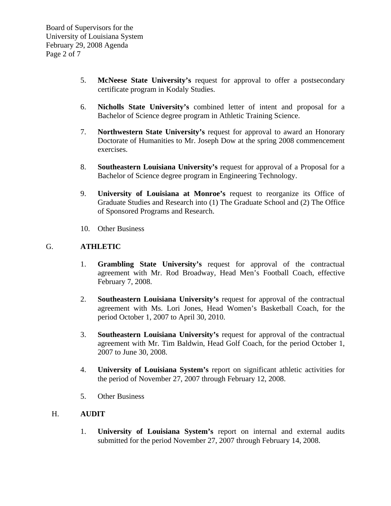- 5. **McNeese State University's** request for approval to offer a postsecondary certificate program in Kodaly Studies.
- 6. **Nicholls State University's** combined letter of intent and proposal for a Bachelor of Science degree program in Athletic Training Science.
- 7. **Northwestern State University's** request for approval to award an Honorary Doctorate of Humanities to Mr. Joseph Dow at the spring 2008 commencement exercises.
- 8. **Southeastern Louisiana University's** request for approval of a Proposal for a Bachelor of Science degree program in Engineering Technology.
- 9. **University of Louisiana at Monroe's** request to reorganize its Office of Graduate Studies and Research into (1) The Graduate School and (2) The Office of Sponsored Programs and Research.
- 10. Other Business

### G. **ATHLETIC**

- 1. **Grambling State University's** request for approval of the contractual agreement with Mr. Rod Broadway, Head Men's Football Coach, effective February 7, 2008.
- 2. **Southeastern Louisiana University's** request for approval of the contractual agreement with Ms. Lori Jones, Head Women's Basketball Coach, for the period October 1, 2007 to April 30, 2010.
- 3. **Southeastern Louisiana University's** request for approval of the contractual agreement with Mr. Tim Baldwin, Head Golf Coach, for the period October 1, 2007 to June 30, 2008.
- 4. **University of Louisiana System's** report on significant athletic activities for the period of November 27, 2007 through February 12, 2008.
- 5. Other Business

# H. **AUDIT**

 1. **University of Louisiana System's** report on internal and external audits submitted for the period November 27, 2007 through February 14, 2008.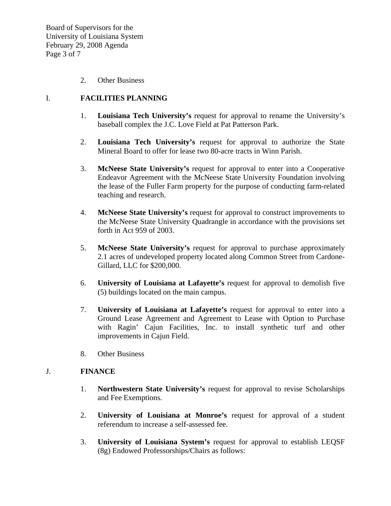Board of Supervisors for the University of Louisiana System February 29, 2008 Agenda Page 3 of 7

2. Other Business

### I. **FACILITIES PLANNING**

- 1. **Louisiana Tech University's** request for approval to rename the University's baseball complex the J.C. Love Field at Pat Patterson Park.
- 2. **Louisiana Tech University's** request for approval to authorize the State Mineral Board to offer for lease two 80-acre tracts in Winn Parish.
- 3. **McNeese State University's** request for approval to enter into a Cooperative Endeavor Agreement with the McNeese State University Foundation involving the lease of the Fuller Farm property for the purpose of conducting farm-related teaching and research.
- 4. **McNeese State University's** request for approval to construct improvements to the McNeese State University Quadrangle in accordance with the provisions set forth in Act 959 of 2003.
- 5. **McNeese State University's** request for approval to purchase approximately 2.1 acres of undeveloped property located along Common Street from Cardone-Gillard, LLC for \$200,000.
- 6. **University of Louisiana at Lafayette's** request for approval to demolish five (5) buildings located on the main campus.
- 7. **University of Louisiana at Lafayette's** request for approval to enter into a Ground Lease Agreement and Agreement to Lease with Option to Purchase with Ragin' Cajun Facilities, Inc. to install synthetic turf and other improvements in Cajun Field.
- 8. Other Business

#### J. **FINANCE**

- 1. **Northwestern State University's** request for approval to revise Scholarships and Fee Exemptions.
- 2. **University of Louisiana at Monroe's** request for approval of a student referendum to increase a self-assessed fee.
- 3. **University of Louisiana System's** request for approval to establish LEQSF (8g) Endowed Professorships/Chairs as follows: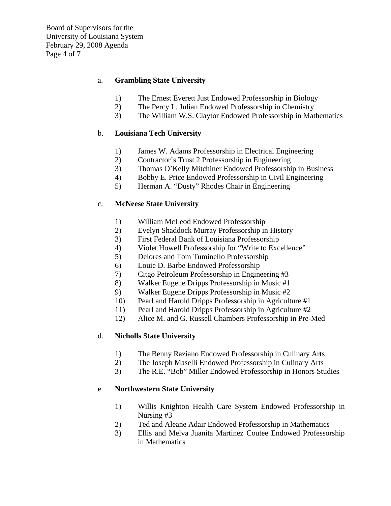### a. **Grambling State University**

- 1) The Ernest Everett Just Endowed Professorship in Biology
- 2) The Percy L. Julian Endowed Professorship in Chemistry
- 3) The William W.S. Claytor Endowed Professorship in Mathematics

### b. **Louisiana Tech University**

- 1) James W. Adams Professorship in Electrical Engineering
- 2) Contractor's Trust 2 Professorship in Engineering
- 3) Thomas O'Kelly Mitchiner Endowed Professorship in Business
- 4) Bobby E. Price Endowed Professorship in Civil Engineering
- 5) Herman A. "Dusty" Rhodes Chair in Engineering

### c. **McNeese State University**

- 1) William McLeod Endowed Professorship
- 2) Evelyn Shaddock Murray Professorship in History
- 3) First Federal Bank of Louisiana Professorship
- 4) Violet Howell Professorship for "Write to Excellence"
- 5) Delores and Tom Tuminello Professorship
- 6) Louie D. Barbe Endowed Professorship
- 7) Citgo Petroleum Professorship in Engineering #3
- 8) Walker Eugene Dripps Professorship in Music #1
- 9) Walker Eugene Dripps Professorship in Music #2
- 10) Pearl and Harold Dripps Professorship in Agriculture #1
- 11) Pearl and Harold Dripps Professorship in Agriculture #2
- 12) Alice M. and G. Russell Chambers Professorship in Pre-Med

# d. **Nicholls State University**

- 1) The Benny Raziano Endowed Professorship in Culinary Arts
- 2) The Joseph Maselli Endowed Professorship in Culinary Arts
- 3) The R.E. "Bob" Miller Endowed Professorship in Honors Studies

#### e. **Northwestern State University**

- 1) Willis Knighton Health Care System Endowed Professorship in Nursing #3
- 2) Ted and Aleane Adair Endowed Professorship in Mathematics
- 3) Ellis and Melva Juanita Martinez Coutee Endowed Professorship in Mathematics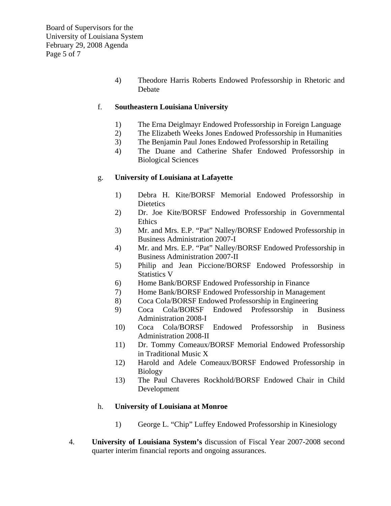4) Theodore Harris Roberts Endowed Professorship in Rhetoric and Debate

### f. **Southeastern Louisiana University**

- 1) The Erna Deiglmayr Endowed Professorship in Foreign Language
- 2) The Elizabeth Weeks Jones Endowed Professorship in Humanities
- 3) The Benjamin Paul Jones Endowed Professorship in Retailing
- 4) The Duane and Catherine Shafer Endowed Professorship in Biological Sciences

# g. **University of Louisiana at Lafayette**

- 1) Debra H. Kite/BORSF Memorial Endowed Professorship in **Dietetics**
- 2) Dr. Joe Kite/BORSF Endowed Professorship in Governmental Ethics
- 3) Mr. and Mrs. E.P. "Pat" Nalley/BORSF Endowed Professorship in Business Administration 2007-I
- 4) Mr. and Mrs. E.P. "Pat" Nalley/BORSF Endowed Professorship in Business Administration 2007-II
- 5) Philip and Jean Piccione/BORSF Endowed Professorship in Statistics V
- 6) Home Bank/BORSF Endowed Professorship in Finance
- 7) Home Bank/BORSF Endowed Professorship in Management
- 8) Coca Cola/BORSF Endowed Professorship in Engineering
- 9) Coca Cola/BORSF Endowed Professorship in Business Administration 2008-I
- 10) Coca Cola/BORSF Endowed Professorship in Business Administration 2008-II
- 11) Dr. Tommy Comeaux/BORSF Memorial Endowed Professorship in Traditional Music X
- 12) Harold and Adele Comeaux/BORSF Endowed Professorship in Biology
- 13) The Paul Chaveres Rockhold/BORSF Endowed Chair in Child Development

#### h. **University of Louisiana at Monroe**

- 1) George L. "Chip" Luffey Endowed Professorship in Kinesiology
- 4. **University of Louisiana System's** discussion of Fiscal Year 2007-2008 second quarter interim financial reports and ongoing assurances.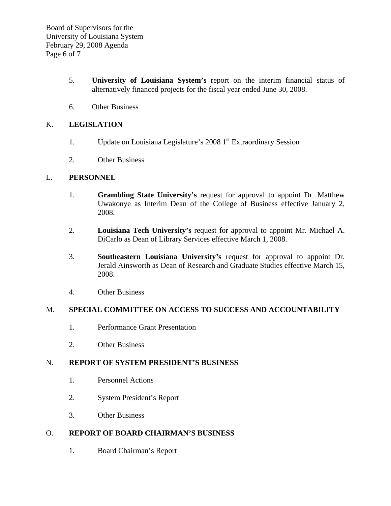- 5. **University of Louisiana System's** report on the interim financial status of alternatively financed projects for the fiscal year ended June 30, 2008.
- 6. Other Business

# K. **LEGISLATION**

- 1. Update on Louisiana Legislature's 2008 1<sup>st</sup> Extraordinary Session
- 2. Other Business

# L. **PERSONNEL**

- 1. **Grambling State University's** request for approval to appoint Dr. Matthew Uwakonye as Interim Dean of the College of Business effective January 2, 2008.
- 2. **Louisiana Tech University's** request for approval to appoint Mr. Michael A. DiCarlo as Dean of Library Services effective March 1, 2008.
- 3. **Southeastern Louisiana University's** request for approval to appoint Dr. Jerald Ainsworth as Dean of Research and Graduate Studies effective March 15, 2008.
- 4. Other Business

# M. **SPECIAL COMMITTEE ON ACCESS TO SUCCESS AND ACCOUNTABILITY**

- 1. Performance Grant Presentation
- 2. Other Business

# N. **REPORT OF SYSTEM PRESIDENT'S BUSINESS**

- 1. Personnel Actions
- 2. System President's Report
- 3. Other Business

# O. **REPORT OF BOARD CHAIRMAN'S BUSINESS**

1. Board Chairman's Report